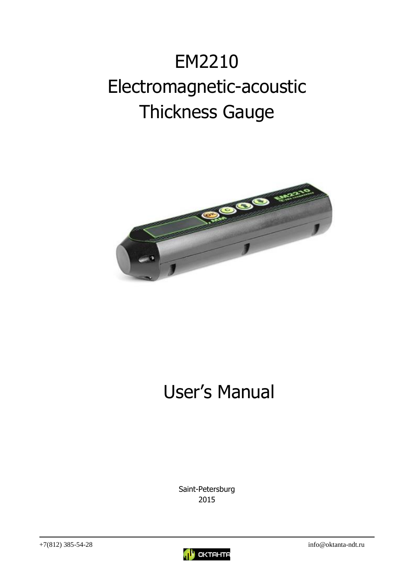# EM2210 Electromagnetic-acoustic Thickness Gauge



# User's Manual

Saint-Petersburg 2015

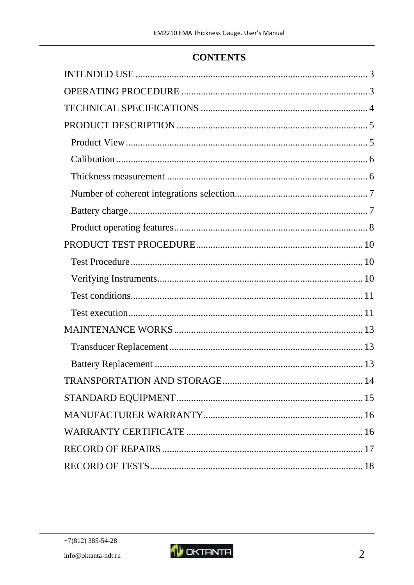# **CONTENTS**

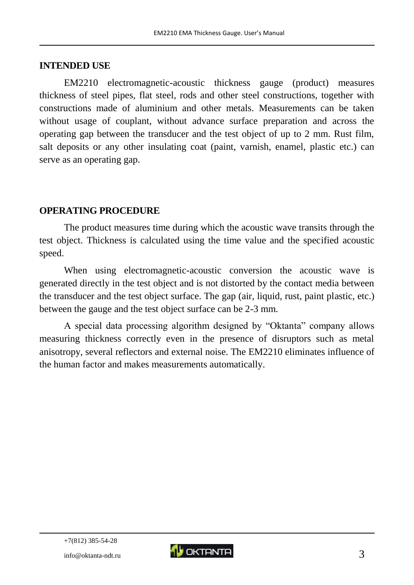#### <span id="page-2-0"></span>**INTENDED USE**

EM2210 electromagnetic-acoustic thickness gauge (product) measures thickness of steel pipes, flat steel, rods and other steel constructions, together with constructions made of aluminium and other metals. Measurements can be taken without usage of couplant, without advance surface preparation and across the operating gap between the transducer and the test object of up to 2 mm. Rust film, salt deposits or any other insulating coat (paint, varnish, enamel, plastic etc.) can serve as an operating gap.

#### <span id="page-2-1"></span>**OPERATING PROCEDURE**

The product measures time during which the acoustic wave transits through the test object. Thickness is calculated using the time value and the specified acoustic speed.

When using electromagnetic-acoustic conversion the acoustic wave is generated directly in the test object and is not distorted by the contact media between the transducer and the test object surface. The gap (air, liquid, rust, paint plastic, etc.) between the gauge and the test object surface can be 2-3 mm.

A special data processing algorithm designed by "Oktanta" company allows measuring thickness correctly even in the presence of disruptors such as metal anisotropy, several reflectors and external noise. The EM2210 eliminates influence of the human factor and makes measurements automatically.

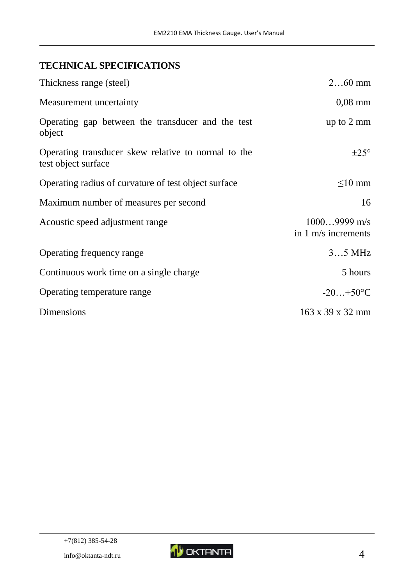# <span id="page-3-0"></span>**TECHNICAL SPECIFICATIONS**

| Thickness range (steel)                                                    | $260$ mm                              |
|----------------------------------------------------------------------------|---------------------------------------|
| Measurement uncertainty                                                    | $0,08$ mm                             |
| Operating gap between the transducer and the test<br>object                | up to $2 \text{ mm}$                  |
| Operating transducer skew relative to normal to the<br>test object surface | $\pm 25^{\circ}$                      |
| Operating radius of curvature of test object surface                       | $\leq$ 10 mm                          |
| Maximum number of measures per second                                      | 16                                    |
| Acoustic speed adjustment range                                            | $10009999$ m/s<br>in 1 m/s increments |
| Operating frequency range                                                  | $35$ MHz                              |
| Continuous work time on a single charge                                    | 5 hours                               |
| Operating temperature range                                                | $-20+50$ °C                           |
| Dimensions                                                                 | 163 x 39 x 32 mm                      |

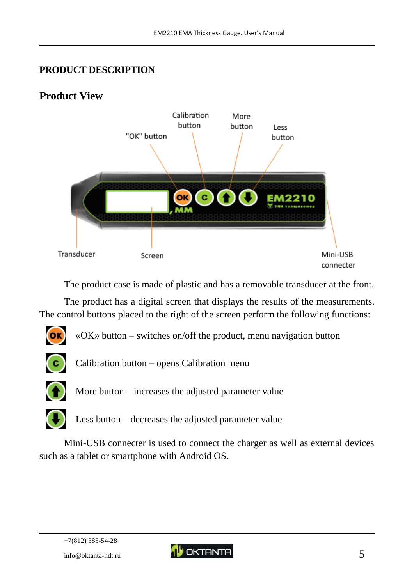# <span id="page-4-0"></span>**PRODUCT DESCRIPTION**

# <span id="page-4-1"></span>**Product View**



The product case is made of plastic and has a removable transducer at the front.

The product has a digital screen that displays the results of the measurements. The control buttons placed to the right of the screen perform the following functions:



«OK» button – switches on/off the product, menu navigation button



Calibration button – opens Calibration menu



More button – increases the adjusted parameter value



Less button – decreases the adjusted parameter value

Mini-USB connecter is used to connect the charger as well as external devices such as a tablet or smartphone with Android OS.

+7(812) 385-54-28

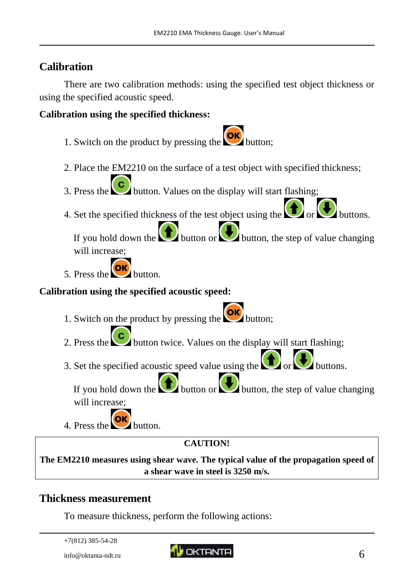# <span id="page-5-0"></span>**Calibration**

There are two calibration methods: using the specified test object thickness or using the specified acoustic speed.

### **Calibration using the specified thickness:**

- 1. Switch on the product by pressing the  $\circ$
- 2. Place the EM2210 on the surface of a test object with specified thickness;
- 3. Press the button. Values on the display will start flashing;
- 4. Set the specified thickness of the test object using the  $\bigcup_{\alpha} \bigcup_{\alpha}$  buttons.

If you hold down the button or button, the step of value changing will increase;

5. Press the button.

## **Calibration using the specified acoustic speed:**

- 1. Switch on the product by pressing the **OK** button;
- 2. Press the button twice. Values on the display will start flashing;
- 3. Set the specified acoustic speed value using the  $\bigcup_{\alpha} \bigcup_{\alpha}$  buttons.

If you hold down the **button** or button, the step of value changing will increase;

4. Press the button.

**CAUTION!**

**The EM2210 measures using shear wave. The typical value of the propagation speed of a shear wave in steel is 3250 m/s.**

# <span id="page-5-1"></span>**Thickness measurement**

To measure thickness, perform the following actions:

```
+7(812) 385-54-28
```
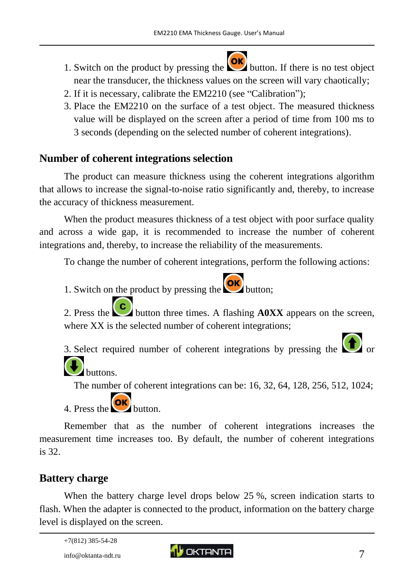- 1. Switch on the product by pressing the  $\left\{ \frac{\partial K}{\partial x} \right\}$  button. If there is no test object near the transducer, the thickness values on the screen will vary chaotically;
- 2. If it is necessary, calibrate the EM2210 (see "Calibration");
- 3. Place the EM2210 on the surface of a test object. The measured thickness value will be displayed on the screen after a period of time from 100 ms to 3 seconds (depending on the selected number of coherent integrations).

# <span id="page-6-0"></span>**Number of coherent integrations selection**

The product can measure thickness using the coherent integrations algorithm that allows to increase the signal-to-noise ratio significantly and, thereby, to increase the accuracy of thickness measurement.

When the product measures thickness of a test object with poor surface quality and across a wide gap, it is recommended to increase the number of coherent integrations and, thereby, to increase the reliability of the measurements.

To change the number of coherent integrations, perform the following actions:

1. Switch on the product by pressing the **OK** button;

2. Press the **C** button three times. A flashing **A0XX** appears on the screen, where XX is the selected number of coherent integrations;

3. Select required number of coherent integrations by pressing the  $\Box$  or buttons.

The number of coherent integrations can be: 16, 32, 64, 128, 256, 512, 1024;

4. Press the  $\overline{\text{OK}}$  button.

Remember that as the number of coherent integrations increases the measurement time increases too. By default, the number of coherent integrations is 32.

# <span id="page-6-1"></span>**Battery charge**

When the battery charge level drops below 25 %, screen indication starts to flash. When the adapter is connected to the product, information on the battery charge level is displayed on the screen.

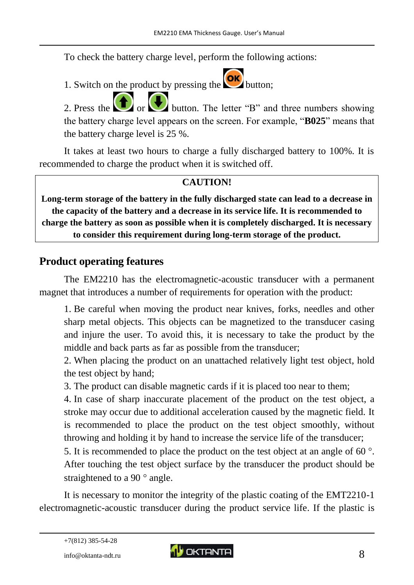To check the battery charge level, perform the following actions:

1. Switch on the product by pressing the  $\overline{\text{OK}}$  button;

2. Press the  $\Box$  or button. The letter "B" and three numbers showing the battery charge level appears on the screen. For example, "**B025**" means that the battery charge level is 25 %.

It takes at least two hours to charge a fully discharged battery to 100%. It is recommended to charge the product when it is switched off.

# **CAUTION!**

**Long-term storage of the battery in the fully discharged state can lead to a decrease in the capacity of the battery and a decrease in its service life. It is recommended to charge the battery as soon as possible when it is completely discharged. It is necessary to consider this requirement during long-term storage of the product.**

# <span id="page-7-0"></span>**Product operating features**

The EM2210 has the electromagnetic-acoustic transducer with a permanent magnet that introduces a number of requirements for operation with the product:

1. Be careful when moving the product near knives, forks, needles and other sharp metal objects. This objects can be magnetized to the transducer casing and injure the user. To avoid this, it is necessary to take the product by the middle and back parts as far as possible from the transducer;

2. When placing the product on an unattached relatively light test object, hold the test object by hand;

3. The product can disable magnetic cards if it is placed too near to them;

4. In case of sharp inaccurate placement of the product on the test object, a stroke may occur due to additional acceleration caused by the magnetic field. It is recommended to place the product on the test object smoothly, without throwing and holding it by hand to increase the service life of the transducer;

5. It is recommended to place the product on the test object at an angle of 60 $\degree$ . After touching the test object surface by the transducer the product should be straightened to a 90 $\degree$  angle.

It is necessary to monitor the integrity of the plastic coating of the EMT2210-1 electromagnetic-acoustic transducer during the product service life. If the plastic is



<sup>+7(812) 385-54-28</sup>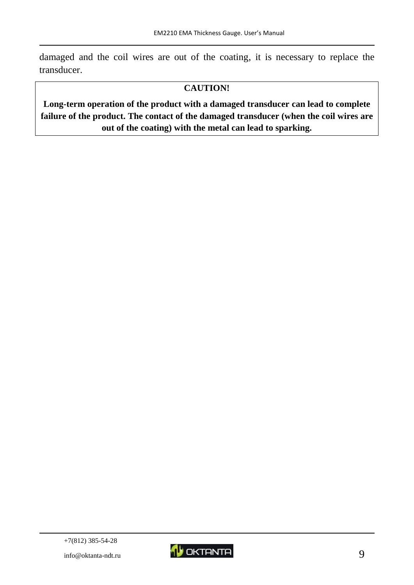damaged and the coil wires are out of the coating, it is necessary to replace the transducer.

#### **CAUTION!**

**Long-term operation of the product with a damaged transducer can lead to complete failure of the product. The contact of the damaged transducer (when the coil wires are out of the coating) with the metal can lead to sparking.**

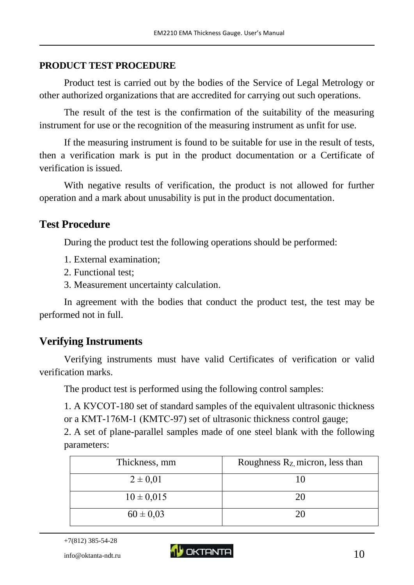## <span id="page-9-0"></span>**PRODUCT TEST PROCEDURE**

Product test is carried out by the bodies of the Service of Legal Metrology or other authorized organizations that are accredited for carrying out such operations.

The result of the test is the confirmation of the suitability of the measuring instrument for use or the recognition of the measuring instrument as unfit for use.

If the measuring instrument is found to be suitable for use in the result of tests, then a verification mark is put in the product documentation or a Certificate of verification is issued.

With negative results of verification, the product is not allowed for further operation and a mark about unusability is put in the product documentation.

# <span id="page-9-1"></span>**Test Procedure**

During the product test the following operations should be performed:

- 1. External examination;
- 2. Functional test;
- 3. Measurement uncertainty calculation.

In agreement with the bodies that conduct the product test, the test may be performed not in full.

# <span id="page-9-2"></span>**Verifying Instruments**

Verifying instruments must have valid Certificates of verification or valid verification marks.

The product test is performed using the following control samples:

1. A КУСОТ-180 set of standard samples of the equivalent ultrasonic thickness or a КМТ-176М-1 (КМТС-97) set of ultrasonic thickness control gauge;

2. A set of plane-parallel samples made of one steel blank with the following parameters:

| Thickness, mm  | Roughness $R_{Z}$ micron, less than |
|----------------|-------------------------------------|
| $2 \pm 0.01$   |                                     |
| $10 \pm 0.015$ | 20                                  |
| $60 \pm 0.03$  | 20                                  |

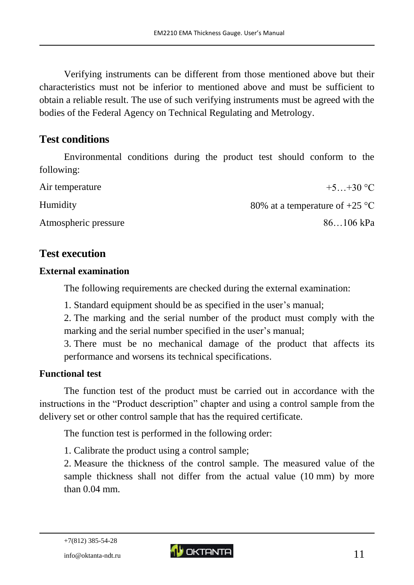Verifying instruments can be different from those mentioned above but their characteristics must not be inferior to mentioned above and must be sufficient to obtain a reliable result. The use of such verifying instruments must be agreed with the bodies of the Federal Agency on Technical Regulating and Metrology.

# <span id="page-10-0"></span>**Test conditions**

Environmental conditions during the product test should conform to the following:

| Air temperature      | $+5+30$ °C                               |
|----------------------|------------------------------------------|
| <b>Humidity</b>      | 80% at a temperature of +25 $^{\circ}$ C |
| Atmospheric pressure | $86106$ kPa                              |

# <span id="page-10-1"></span>**Test execution**

#### **External examination**

The following requirements are checked during the external examination:

1. Standard equipment should be as specified in the user's manual;

2. The marking and the serial number of the product must comply with the marking and the serial number specified in the user's manual;

3. There must be no mechanical damage of the product that affects its performance and worsens its technical specifications.

#### **Functional test**

The function test of the product must be carried out in accordance with the instructions in the "Product description" chapter and using a control sample from the delivery set or other control sample that has the required certificate.

The function test is performed in the following order:

1. Calibrate the product using a control sample;

2. Measure the thickness of the control sample. The measured value of the sample thickness shall not differ from the actual value (10 mm) by more than 0.04 mm.

+7(812) 385-54-28

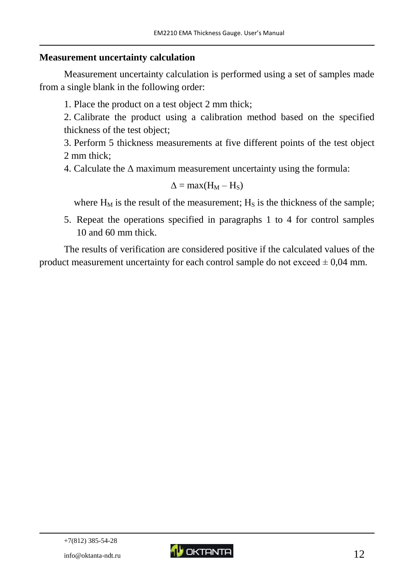#### **Measurement uncertainty calculation**

Measurement uncertainty calculation is performed using a set of samples made from a single blank in the following order:

1. Place the product on a test object 2 mm thick;

2. Calibrate the product using a calibration method based on the specified thickness of the test object;

3. Perform 5 thickness measurements at five different points of the test object 2 mm thick;

4. Calculate the  $\Delta$  maximum measurement uncertainty using the formula:

$$
\Delta = \max(H_M - H_S)
$$

where  $H_M$  is the result of the measurement;  $H_S$  is the thickness of the sample;

5. Repeat the operations specified in paragraphs 1 to 4 for control samples 10 and 60 mm thick.

The results of verification are considered positive if the calculated values of the product measurement uncertainty for each control sample do not exceed  $\pm 0.04$  mm.

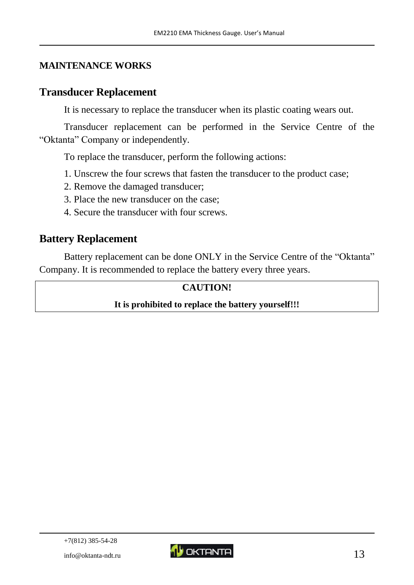## <span id="page-12-0"></span>**MAINTENANCE WORKS**

# <span id="page-12-1"></span>**Transducer Replacement**

It is necessary to replace the transducer when its plastic coating wears out.

Transducer replacement can be performed in the Service Centre of the "Oktanta" Company or independently.

To replace the transducer, perform the following actions:

- 1. Unscrew the four screws that fasten the transducer to the product case;
- 2. Remove the damaged transducer;
- 3. Place the new transducer on the case;
- 4. Secure the transducer with four screws.

# <span id="page-12-2"></span>**Battery Replacement**

Battery replacement can be done ONLY in the Service Centre of the "Oktanta" Company. It is recommended to replace the battery every three years.

#### **CAUTION!**

#### **It is prohibited to replace the battery yourself!!!**

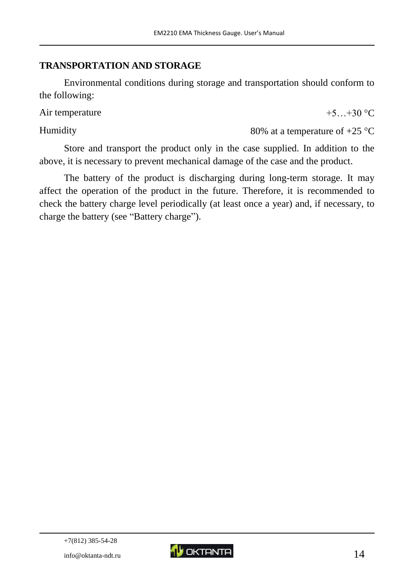# <span id="page-13-0"></span>**TRANSPORTATION AND STORAGE**

Environmental conditions during storage and transportation should conform to the following:

Air temperature  $+5...+30$  °C

Humidity  $80\%$  at a temperature of  $+25\,^{\circ}\text{C}$ 

Store and transport the product only in the case supplied. In addition to the above, it is necessary to prevent mechanical damage of the case and the product.

The battery of the product is discharging during long-term storage. It may affect the operation of the product in the future. Therefore, it is recommended to check the battery charge level periodically (at least once a year) and, if necessary, to charge the battery (see "Battery charge").

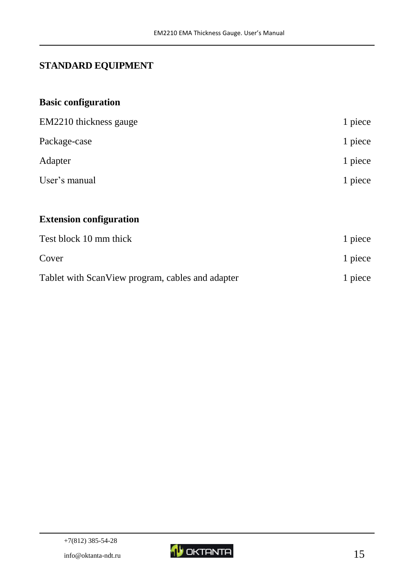# <span id="page-14-0"></span>**STANDARD EQUIPMENT**

# **Basic configuration**

| EM2210 thickness gauge                           | 1 piece |
|--------------------------------------------------|---------|
| Package-case                                     | 1 piece |
| Adapter                                          | 1 piece |
| User's manual                                    | 1 piece |
|                                                  |         |
| <b>Extension configuration</b>                   |         |
| Test block 10 mm thick                           | 1 piece |
| Cover                                            | 1 piece |
| Tablet with ScanView program, cables and adapter | 1 piece |

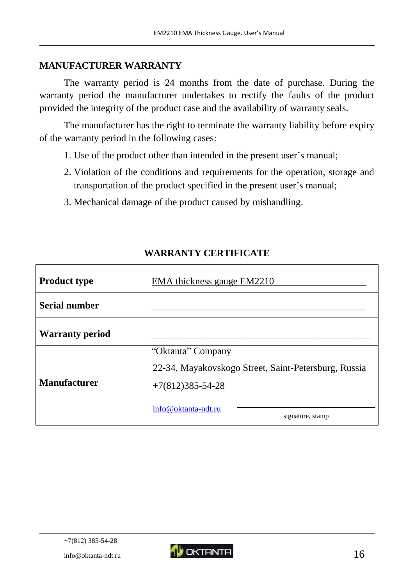#### <span id="page-15-0"></span>**MANUFACTURER WARRANTY**

The warranty period is 24 months from the date of purchase. During the warranty period the manufacturer undertakes to rectify the faults of the product provided the integrity of the product case and the availability of warranty seals.

The manufacturer has the right to terminate the warranty liability before expiry of the warranty period in the following cases:

- 1. Use of the product other than intended in the present user's manual;
- 2. Violation of the conditions and requirements for the operation, storage and transportation of the product specified in the present user's manual;
- 3. Mechanical damage of the product caused by mishandling.

<span id="page-15-1"></span>

| <b>Product type</b>    | <b>EMA</b> thickness gauge <b>EM2210</b>             |  |
|------------------------|------------------------------------------------------|--|
| <b>Serial number</b>   |                                                      |  |
| <b>Warranty period</b> |                                                      |  |
|                        | "Oktanta" Company                                    |  |
|                        | 22-34, Mayakovskogo Street, Saint-Petersburg, Russia |  |
| <b>Manufacturer</b>    | $+7(812)385 - 54 - 28$                               |  |
|                        | info@oktanta-ndt.ru<br>signature, stamp              |  |

# **WARRANTY CERTIFICATE**

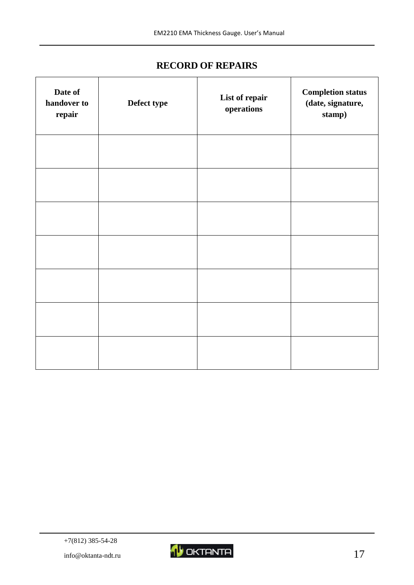## **RECORD OF REPAIRS**

<span id="page-16-0"></span>

| Date of<br>handover to<br>repair | Defect type | List of repair<br>operations | <b>Completion status</b><br>(date, signature,<br>stamp) |
|----------------------------------|-------------|------------------------------|---------------------------------------------------------|
|                                  |             |                              |                                                         |
|                                  |             |                              |                                                         |
|                                  |             |                              |                                                         |
|                                  |             |                              |                                                         |
|                                  |             |                              |                                                         |
|                                  |             |                              |                                                         |
|                                  |             |                              |                                                         |